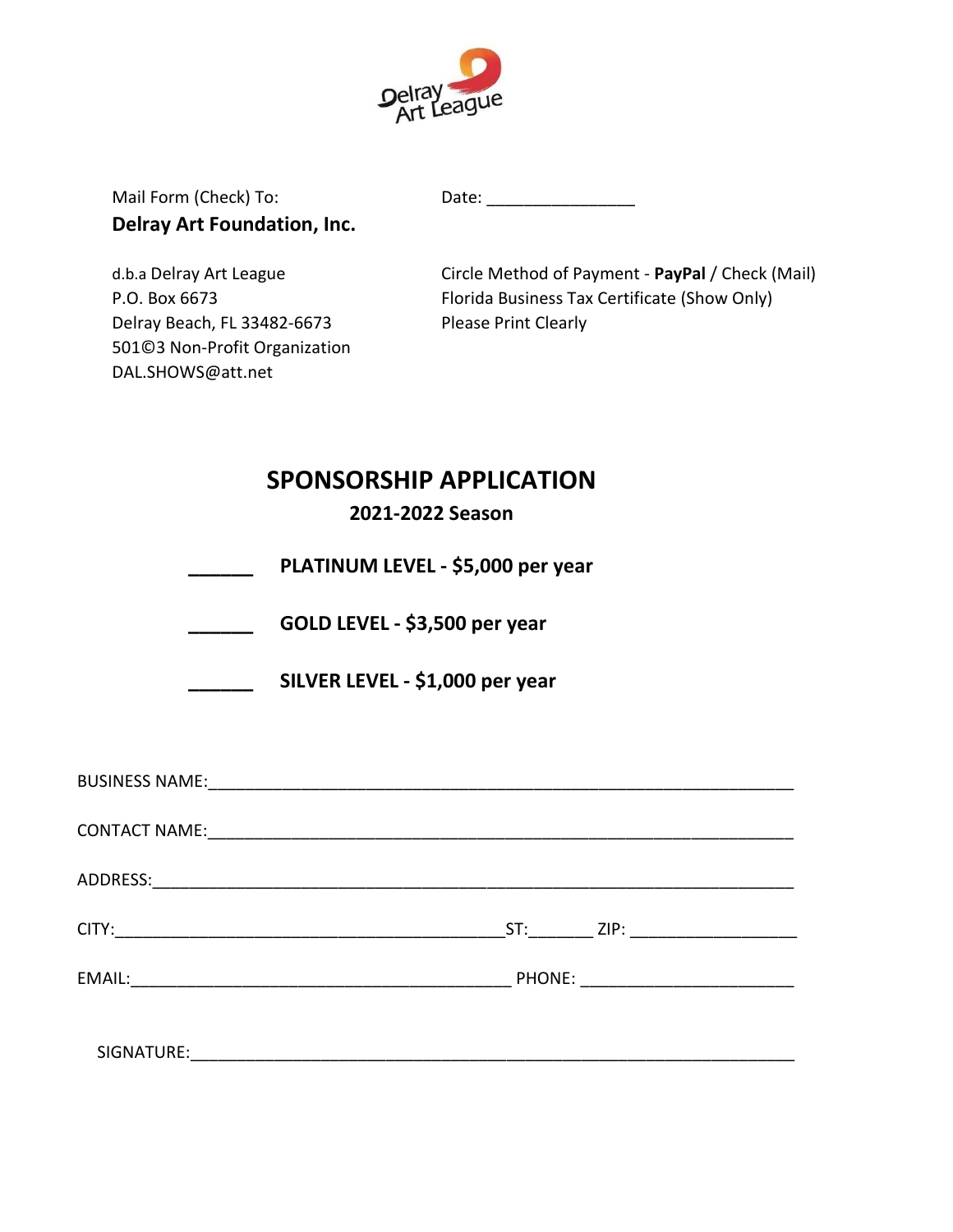

Mail Form (Check) To: Date: Date: **Delray Art Foundation, Inc.**

Delray Beach, FL 33482-6673 Please Print Clearly 501©3 Non-Profit Organization DAL.SHOWS@att.net

d.b.a Delray Art League Circle Method of Payment - **PayPal** / Check (Mail) P.O. Box 6673 Florida Business Tax Certificate (Show Only)

## **SPONSORSHIP APPLICATION**

**2021-2022 Season**

**\_\_\_\_\_\_ PLATINUM LEVEL - \$5,000 per year**

**\_\_\_\_\_\_ GOLD LEVEL - \$3,500 per year** 

|  | SILVER LEVEL - \$1,000 per year |
|--|---------------------------------|
|--|---------------------------------|

| ADDRESS:   |                                     |
|------------|-------------------------------------|
|            | $ST:$ $ZIP:$ $\qquad \qquad$        |
| EMAIL:     | PHONE: ____________________________ |
| SIGNATURE: |                                     |